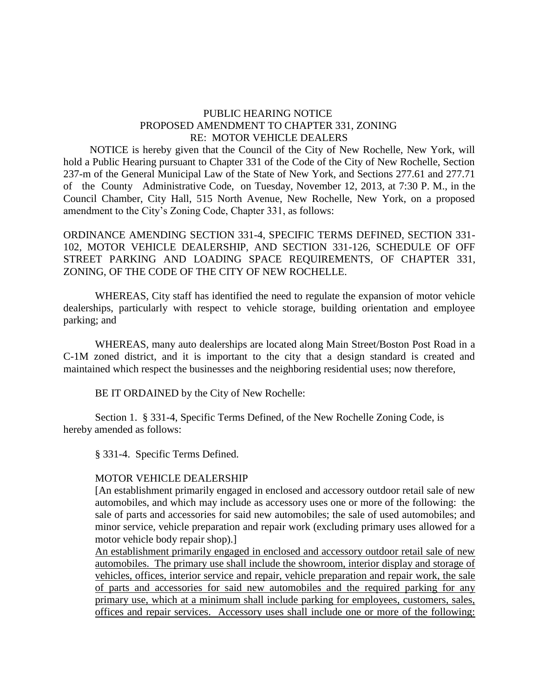## PUBLIC HEARING NOTICE PROPOSED AMENDMENT TO CHAPTER 331, ZONING RE: MOTOR VEHICLE DEALERS

 NOTICE is hereby given that the Council of the City of New Rochelle, New York, will hold a Public Hearing pursuant to Chapter 331 of the Code of the City of New Rochelle, Section 237-m of the General Municipal Law of the State of New York, and Sections 277.61 and 277.71 of the County Administrative Code, on Tuesday, November 12, 2013, at 7:30 P. M., in the Council Chamber, City Hall, 515 North Avenue, New Rochelle, New York, on a proposed amendment to the City's Zoning Code, Chapter 331, as follows:

ORDINANCE AMENDING SECTION 331-4, SPECIFIC TERMS DEFINED, SECTION 331- 102, MOTOR VEHICLE DEALERSHIP, AND SECTION 331-126, SCHEDULE OF OFF STREET PARKING AND LOADING SPACE REQUIREMENTS, OF CHAPTER 331, ZONING, OF THE CODE OF THE CITY OF NEW ROCHELLE.

WHEREAS, City staff has identified the need to regulate the expansion of motor vehicle dealerships, particularly with respect to vehicle storage, building orientation and employee parking; and

WHEREAS, many auto dealerships are located along Main Street/Boston Post Road in a C-1M zoned district, and it is important to the city that a design standard is created and maintained which respect the businesses and the neighboring residential uses; now therefore,

BE IT ORDAINED by the City of New Rochelle:

Section 1. § 331-4, Specific Terms Defined, of the New Rochelle Zoning Code, is hereby amended as follows:

§ 331-4. Specific Terms Defined.

## MOTOR VEHICLE DEALERSHIP

[An establishment primarily engaged in enclosed and accessory outdoor retail sale of new automobiles, and which may include as accessory uses one or more of the following: the sale of parts and accessories for said new automobiles; the sale of used automobiles; and minor service, vehicle preparation and repair work (excluding primary uses allowed for a motor vehicle body repair shop).]

An establishment primarily engaged in enclosed and accessory outdoor retail sale of new automobiles. The primary use shall include the showroom, interior display and storage of vehicles, offices, interior service and repair, vehicle preparation and repair work, the sale of parts and accessories for said new automobiles and the required parking for any primary use, which at a minimum shall include parking for employees, customers, sales, offices and repair services. Accessory uses shall include one or more of the following: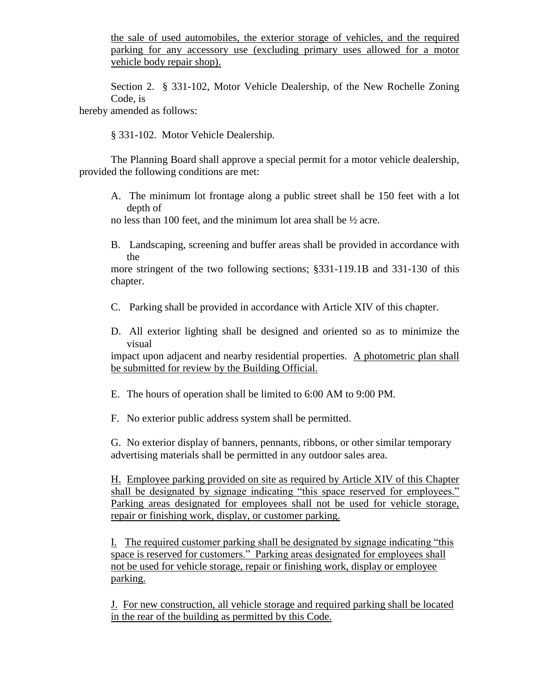the sale of used automobiles, the exterior storage of vehicles, and the required parking for any accessory use (excluding primary uses allowed for a motor vehicle body repair shop).

Section 2. § 331-102, Motor Vehicle Dealership, of the New Rochelle Zoning Code, is

hereby amended as follows:

§ 331-102. Motor Vehicle Dealership.

The Planning Board shall approve a special permit for a motor vehicle dealership, provided the following conditions are met:

- A. The minimum lot frontage along a public street shall be 150 feet with a lot depth of
- no less than 100 feet, and the minimum lot area shall be ½ acre.
- B. Landscaping, screening and buffer areas shall be provided in accordance with the

more stringent of the two following sections; §331-119.1B and 331-130 of this chapter.

- C. Parking shall be provided in accordance with Article XIV of this chapter.
- D. All exterior lighting shall be designed and oriented so as to minimize the visual

impact upon adjacent and nearby residential properties. A photometric plan shall be submitted for review by the Building Official.

- E. The hours of operation shall be limited to 6:00 AM to 9:00 PM.
- F. No exterior public address system shall be permitted.

G. No exterior display of banners, pennants, ribbons, or other similar temporary advertising materials shall be permitted in any outdoor sales area.

H. Employee parking provided on site as required by Article XIV of this Chapter shall be designated by signage indicating "this space reserved for employees." Parking areas designated for employees shall not be used for vehicle storage, repair or finishing work, display, or customer parking.

I. The required customer parking shall be designated by signage indicating "this space is reserved for customers." Parking areas designated for employees shall not be used for vehicle storage, repair or finishing work, display or employee parking.

J. For new construction, all vehicle storage and required parking shall be located in the rear of the building as permitted by this Code.